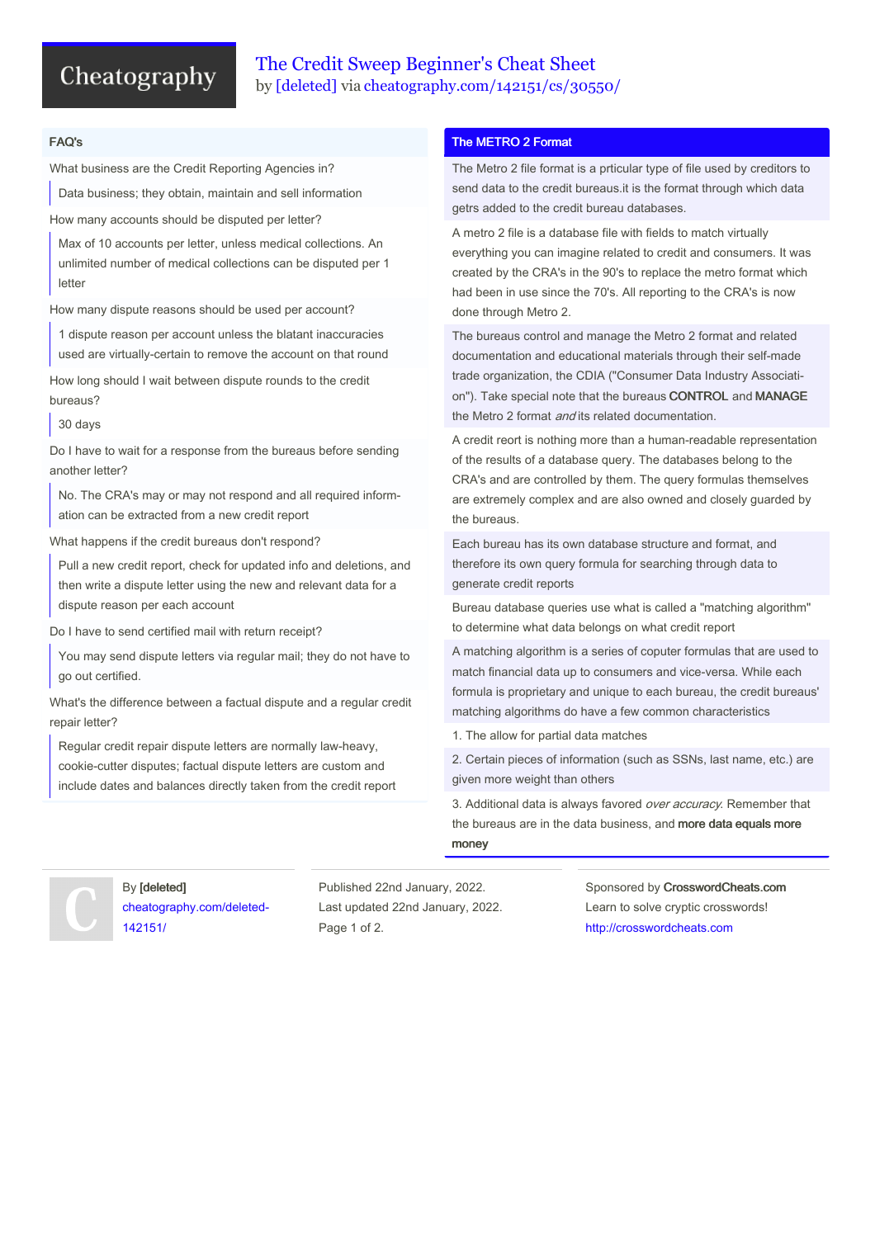# Cheatography

## The Credit Sweep Beginner's Cheat Sheet by [\[deleted\]](http://www.cheatography.com/deleted-142151/) via [cheatography.com/142151/cs/30550/](http://www.cheatography.com/deleted-142151/cheat-sheets/the-credit-sweep-beginner-s)

### FAQ's

What business are the Credit Reporting Agencies in?

Data business; they obtain, maintain and sell information

How many accounts should be disputed per letter?

Max of 10 accounts per letter, unless medical collections. An unlimited number of medical collections can be disputed per 1 letter

How many dispute reasons should be used per account?

1 dispute reason per account unless the blatant inaccuracies used are virtually-certain to remove the account on that round

How long should I wait between dispute rounds to the credit bureaus?

30 days

Do I have to wait for a response from the bureaus before sending another letter?

No. The CRA's may or may not respond and all required inform‐ ation can be extracted from a new credit report

What happens if the credit bureaus don't respond?

Pull a new credit report, check for updated info and deletions, and then write a dispute letter using the new and relevant data for a dispute reason per each account

Do I have to send certified mail with return receipt?

You may send dispute letters via regular mail; they do not have to go out certified.

What's the difference between a factual dispute and a regular credit repair letter?

Regular credit repair dispute letters are normally law-heavy, cookie-cutter disputes; factual dispute letters are custom and include dates and balances directly taken from the credit report

### The METRO 2 Format

The Metro 2 file format is a prticular type of file used by creditors to send data to the credit bureaus.it is the format through which data getrs added to the credit bureau databases.

A metro 2 file is a database file with fields to match virtually everything you can imagine related to credit and consumers. It was created by the CRA's in the 90's to replace the metro format which had been in use since the 70's. All reporting to the CRA's is now done through Metro 2.

The bureaus control and manage the Metro 2 format and related documentation and educational materials through their self-made trade organization, the CDIA ("Consumer Data Industry Associati‐ on"). Take special note that the bureaus CONTROL and MANAGE the Metro 2 format *and* its related documentation.

A credit reort is nothing more than a human-readable representation of the results of a database query. The databases belong to the CRA's and are controlled by them. The query formulas themselves are extremely complex and are also owned and closely guarded by the bureaus.

Each bureau has its own database structure and format, and therefore its own query formula for searching through data to generate credit reports

Bureau database queries use what is called a "matching algorithm" to determine what data belongs on what credit report

A matching algorithm is a series of coputer formulas that are used to match financial data up to consumers and vice-versa. While each formula is proprietary and unique to each bureau, the credit bureaus' matching algorithms do have a few common characteristics

1. The allow for partial data matches

2. Certain pieces of information (such as SSNs, last name, etc.) are given more weight than others

3. Additional data is always favored over accuracy. Remember that the bureaus are in the data business, and more data equals more money

## By [deleted] [cheatography.com/deleted-](http://www.cheatography.com/deleted-142151/)142151/

Published 22nd January, 2022. Last updated 22nd January, 2022. Page 1 of 2.

Sponsored by CrosswordCheats.com Learn to solve cryptic crosswords! <http://crosswordcheats.com>